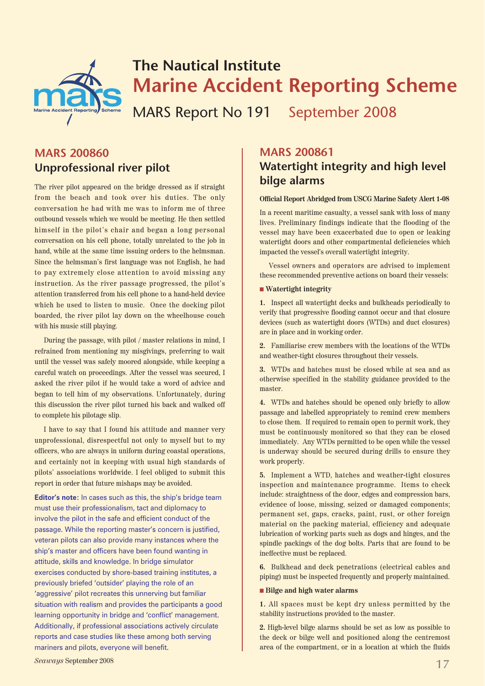

## **The Nautical Institute Marine Accident Reporting Scheme**

MARS Report No 191 September 2008

## **MARS 200860 Unprofessional river pilot**

The river pilot appeared on the bridge dressed as if straight from the beach and took over his duties. The only conversation he had with me was to inform me of three outbound vessels which we would be meeting. He then settled himself in the pilot's chair and began a long personal conversation on his cell phone, totally unrelated to the job in hand, while at the same time issuing orders to the helmsman. Since the helmsman's first language was not English, he had to pay extremely close attention to avoid missing any instruction. As the river passage progressed, the pilot's attention transferred from his cell phone to a hand-held device which he used to listen to music. Once the docking pilot boarded, the river pilot lay down on the wheelhouse couch with his music still playing.

During the passage, with pilot / master relations in mind, I refrained from mentioning my misgivings, preferring to wait until the vessel was safely moored alongside, while keeping a careful watch on proceedings. After the vessel was secured, I asked the river pilot if he would take a word of advice and began to tell him of my observations. Unfortunately, during this discussion the river pilot turned his back and walked off to complete his pilotage slip.

I have to say that I found his attitude and manner very unprofessional, disrespectful not only to myself but to my officers, who are always in uniform during coastal operations, and certainly not in keeping with usual high standards of pilots' associations worldwide. I feel obliged to submit this report in order that future mishaps may be avoided.

**Editor's note:** In cases such as this, the ship's bridge team must use their professionalism, tact and diplomacy to involve the pilot in the safe and efficient conduct of the passage. While the reporting master's concern is justified, veteran pilots can also provide many instances where the ship's master and officers have been found wanting in attitude, skills and knowledge. In bridge simulator exercises conducted by shore-based training institutes, a previously briefed 'outsider' playing the role of an 'aggressive' pilot recreates this unnerving but familiar situation with realism and provides the participants a good learning opportunity in bridge and 'conflict' management. Additionally, if professional associations actively circulate reports and case studies like these among both serving mariners and pilots, everyone will benefit.

## **MARS 200861 Watertight integrity and high level bilge alarms**

#### **Official Report Abridged from USCG Marine Safety Alert 1-08**

In a recent maritime casualty, a vessel sank with loss of many lives. Preliminary findings indicate that the flooding of the vessel may have been exacerbated due to open or leaking watertight doors and other compartmental deficiencies which impacted the vessel's overall watertight integrity.

Vessel owners and operators are advised to implement these recommended preventive actions on board their vessels:

#### ■ **Watertight integrity**

**1.** Inspect all watertight decks and bulkheads periodically to verify that progressive flooding cannot occur and that closure devices (such as watertight doors (WTDs) and duct closures) are in place and in working order.

**2.** Familiarise crew members with the locations of the WTDs and weather-tight closures throughout their vessels.

**3.** WTDs and hatches must be closed while at sea and as otherwise specified in the stability guidance provided to the master.

**4.** WTDs and hatches should be opened only briefly to allow passage and labelled appropriately to remind crew members to close them. If required to remain open to permit work, they must be continuously monitored so that they can be closed immediately. Any WTDs permitted to be open while the vessel is underway should be secured during drills to ensure they work properly.

**5.** Implement a WTD, hatches and weather-tight closures inspection and maintenance programme. Items to check include: straightness of the door, edges and compression bars, evidence of loose, missing, seized or damaged components; permanent set, gaps, cracks, paint, rust, or other foreign material on the packing material, efficiency and adequate lubrication of working parts such as dogs and hinges, and the spindle packings of the dog bolts. Parts that are found to be ineffective must be replaced.

**6.** Bulkhead and deck penetrations (electrical cables and piping) must be inspected frequently and properly maintained.

#### ■ **Bilge and high water alarms**

**1.** All spaces must be kept dry unless permitted by the stability instructions provided to the master.

**2.** High-level bilge alarms should be set as low as possible to the deck or bilge well and positioned along the centremost area of the compartment, or in a location at which the fluids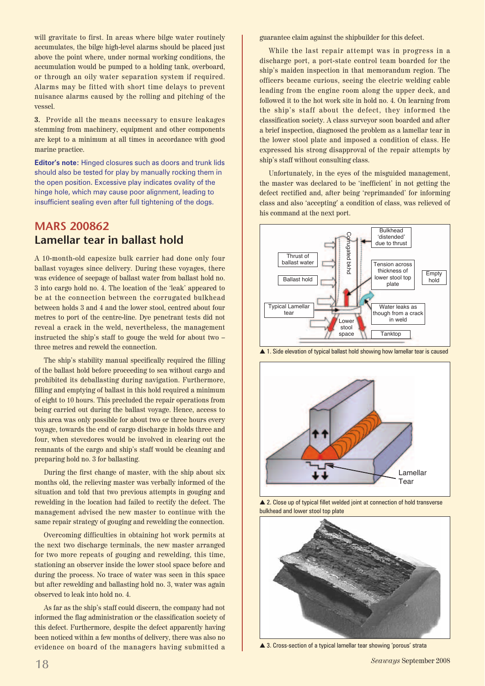will gravitate to first. In areas where bilge water routinely accumulates, the bilge high-level alarms should be placed just above the point where, under normal working conditions, the accumulation would be pumped to a holding tank, overboard, or through an oily water separation system if required. Alarms may be fitted with short time delays to prevent nuisance alarms caused by the rolling and pitching of the vessel.

**3.** Provide all the means necessary to ensure leakages stemming from machinery, equipment and other components are kept to a minimum at all times in accordance with good marine practice.

**Editor's note:** Hinged closures such as doors and trunk lids should also be tested for play by manually rocking them in the open position. Excessive play indicates ovality of the hinge hole, which may cause poor alignment, leading to insufficient sealing even after full tightening of the dogs.

## **MARS 200862 Lamellar tear in ballast hold**

A 10-month-old capesize bulk carrier had done only four ballast voyages since delivery. During these voyages, there was evidence of seepage of ballast water from ballast hold no. 3 into cargo hold no. 4. The location of the 'leak' appeared to be at the connection between the corrugated bulkhead between holds 3 and 4 and the lower stool, centred about four metres to port of the centre-line. Dye penetrant tests did not reveal a crack in the weld, nevertheless, the management instructed the ship's staff to gouge the weld for about two – three metres and reweld the connection.

The ship's stability manual specifically required the filling of the ballast hold before proceeding to sea without cargo and prohibited its deballasting during navigation. Furthermore, filling and emptying of ballast in this hold required a minimum of eight to 10 hours. This precluded the repair operations from being carried out during the ballast voyage. Hence, access to this area was only possible for about two or three hours every voyage, towards the end of cargo discharge in holds three and four, when stevedores would be involved in clearing out the remnants of the cargo and ship's staff would be cleaning and preparing hold no. 3 for ballasting.

During the first change of master, with the ship about six months old, the relieving master was verbally informed of the situation and told that two previous attempts in gouging and rewelding in the location had failed to rectify the defect. The management advised the new master to continue with the same repair strategy of gouging and rewelding the connection.

Overcoming difficulties in obtaining hot work permits at the next two discharge terminals, the new master arranged for two more repeats of gouging and rewelding, this time, stationing an observer inside the lower stool space before and during the process. No trace of water was seen in this space but after rewelding and ballasting hold no. 3, water was again observed to leak into hold no. 4.

As far as the ship's staff could discern, the company had not informed the flag administration or the classification society of this defect. Furthermore, despite the defect apparently having been noticed within a few months of delivery, there was also no evidence on board of the managers having submitted a guarantee claim against the shipbuilder for this defect.

While the last repair attempt was in progress in a discharge port, a port-state control team boarded for the ship's maiden inspection in that memorandum region. The officers became curious, seeing the electric welding cable leading from the engine room along the upper deck, and followed it to the hot work site in hold no. 4. On learning from the ship's staff about the defect, they informed the classification society. A class surveyor soon boarded and after a brief inspection, diagnosed the problem as a lamellar tear in the lower stool plate and imposed a condition of class. He expressed his strong disapproval of the repair attempts by ship's staff without consulting class.

Unfortunately, in the eyes of the misguided management, the master was declared to be 'inefficient' in not getting the defect rectified and, after being 'reprimanded' for informing class and also 'accepting' a condition of class, was relieved of his command at the next port.



▲ 1. Side elevation of typical ballast hold showing how lamellar tear is caused



▲ 2. Close up of typical fillet welded joint at connection of hold transverse bulkhead and lower stool top plate



▲ 3. Cross-section of a typical lamellar tear showing 'porous' strata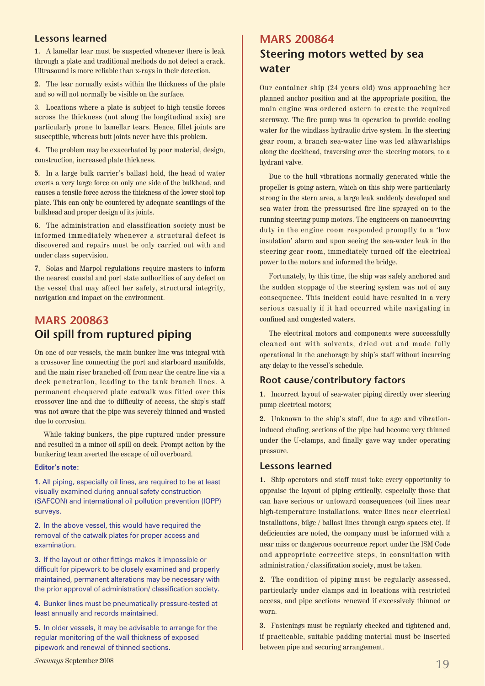#### **Lessons learned**

**1.** A lamellar tear must be suspected whenever there is leak through a plate and traditional methods do not detect a crack. Ultrasound is more reliable than x-rays in their detection.

**2.** The tear normally exists within the thickness of the plate and so will not normally be visible on the surface.

3. Locations where a plate is subject to high tensile forces across the thickness (not along the longitudinal axis) are particularly prone to lamellar tears. Hence, fillet joints are susceptible, whereas butt joints never have this problem.

**4.** The problem may be exacerbated by poor material, design, construction, increased plate thickness.

**5.** In a large bulk carrier's ballast hold, the head of water exerts a very large force on only one side of the bulkhead, and causes a tensile force across the thickness of the lower stool top plate. This can only be countered by adequate scantlings of the bulkhead and proper design of its joints.

**6.** The administration and classification society must be informed immediately whenever a structural defect is discovered and repairs must be only carried out with and under class supervision.

**7.** Solas and Marpol regulations require masters to inform the nearest coastal and port state authorities of any defect on the vessel that may affect her safety, structural integrity, navigation and impact on the environment.

## **MARS 200863 Oil spill from ruptured piping**

On one of our vessels, the main bunker line was integral with a crossover line connecting the port and starboard manifolds, and the main riser branched off from near the centre line via a deck penetration, leading to the tank branch lines. A permanent chequered plate catwalk was fitted over this crossover line and due to difficulty of access, the ship's staff was not aware that the pipe was severely thinned and wasted due to corrosion.

While taking bunkers, the pipe ruptured under pressure and resulted in a minor oil spill on deck. Prompt action by the bunkering team averted the escape of oil overboard.

#### **Editor's note:**

**1.** All piping, especially oil lines, are required to be at least visually examined during annual safety construction (SAFCON) and international oil pollution prevention (IOPP) surveys.

**2.** In the above vessel, this would have required the removal of the catwalk plates for proper access and examination.

**3.** If the layout or other fittings makes it impossible or difficult for pipework to be closely examined and properly maintained, permanent alterations may be necessary with the prior approval of administration/ classification society.

**4.** Bunker lines must be pneumatically pressure-tested at least annually and records maintained.

**5.** In older vessels, it may be advisable to arrange for the regular monitoring of the wall thickness of exposed pipework and renewal of thinned sections.

## **MARS 200864 Steering motors wetted by sea water**

Our container ship (24 years old) was approaching her planned anchor position and at the appropriate position, the main engine was ordered astern to create the required sternway. The fire pump was in operation to provide cooling water for the windlass hydraulic drive system. In the steering gear room, a branch sea-water line was led athwartships along the deckhead, traversing over the steering motors, to a hydrant valve.

Due to the hull vibrations normally generated while the propeller is going astern, which on this ship were particularly strong in the stern area, a large leak suddenly developed and sea water from the pressurised fire line sprayed on to the running steering pump motors. The engineers on manoeuvring duty in the engine room responded promptly to a 'low insulation' alarm and upon seeing the sea-water leak in the steering gear room, immediately turned off the electrical power to the motors and informed the bridge.

Fortunately, by this time, the ship was safely anchored and the sudden stoppage of the steering system was not of any consequence. This incident could have resulted in a very serious casualty if it had occurred while navigating in confined and congested waters.

The electrical motors and components were successfully cleaned out with solvents, dried out and made fully operational in the anchorage by ship's staff without incurring any delay to the vessel's schedule.

#### **Root cause/contributory factors**

**1.** Incorrect layout of sea-water piping directly over steering pump electrical motors;

**2.** Unknown to the ship's staff, due to age and vibrationinduced chafing, sections of the pipe had become very thinned under the U-clamps, and finally gave way under operating pressure.

#### **Lessons learned**

**1.** Ship operators and staff must take every opportunity to appraise the layout of piping critically, especially those that can have serious or untoward consequences (oil lines near high-temperature installations, water lines near electrical installations, bilge / ballast lines through cargo spaces etc). If deficiencies are noted, the company must be informed with a near miss or dangerous occurrence report under the ISM Code and appropriate corrective steps, in consultation with administration / classification society, must be taken.

**2.** The condition of piping must be regularly assessed, particularly under clamps and in locations with restricted access, and pipe sections renewed if excessively thinned or worn.

**3.** Fastenings must be regularly checked and tightened and, if practicable, suitable padding material must be inserted between pipe and securing arrangement.